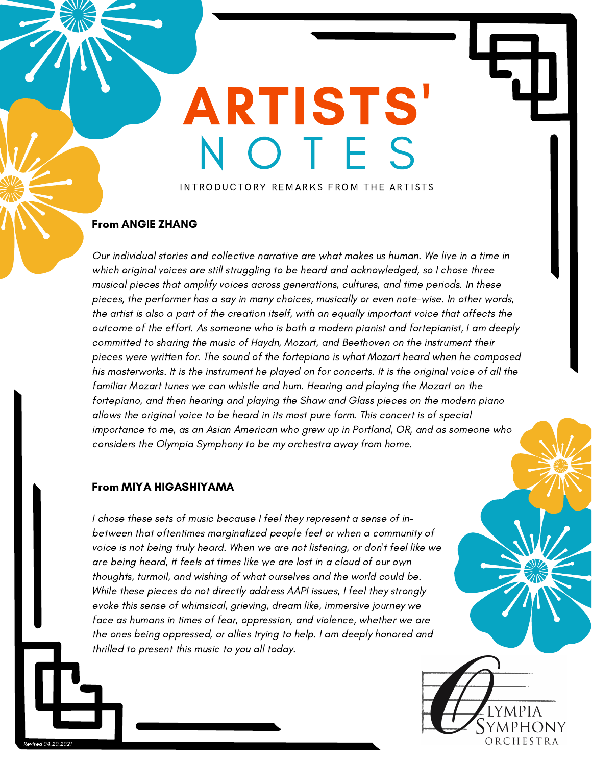# ARTISTS' O T F S

INTRODUCTORY REMARKS FROM THE ARTISTS

#### From ANGIE ZHANG

Our individual stories and collective narrative are what makes us human. We live in a time in which original voices are still struggling to be heard and acknowledged, so I chose three musical pieces that amplify voices across generations, cultures, and time periods. In these pieces, the performer has a say in many choices, musically or even note-wise. In other words, the artist is also a part of the creation itself, with an equally important voice that affects the outcome of the effort. As someone who is both a modern pianist and fortepianist, I am deeply committed to sharing the music of Haydn, Mozart, and Beethoven on the instrument their pieces were written for. The sound of the fortepiano is what Mozart heard when he composed his masterworks. It is the instrument he played on for concerts. It is the original voice of all the familiar Mozart tunes we can whistle and hum. Hearing and playing the Mozart on the fortepiano, and then hearing and playing the Shaw and Glass pieces on the modern piano allows the original voice to be heard in its most pure form. This concert is of special importance to me, as an Asian American who grew up in Portland, OR, and as someone who considers the Olympia Symphony to be my orchestra away from home.

#### From MIYA HIGASHIYAMA

I chose these sets of music because I feel they represent a sense of inbetween that oftentimes marginalized people feel or when a community of voice is not being truly heard. When we are not listening, or don't feel like we are being heard, it feels at times like we are lost in a cloud of our own thoughts, turmoil, and wishing of what ourselves and the world could be. While these pieces do not directly address AAPI issues, I feel they strongly evoke this sense of whimsical, grieving, dream like, immersive journey we face as humans in times of fear, oppression, and violence, whether we are the ones being oppressed, or allies trying to help. I am deeply honored and thrilled to present this music to you all today.

> YMPHONY ORCHESTRA

Revised 04.20.2021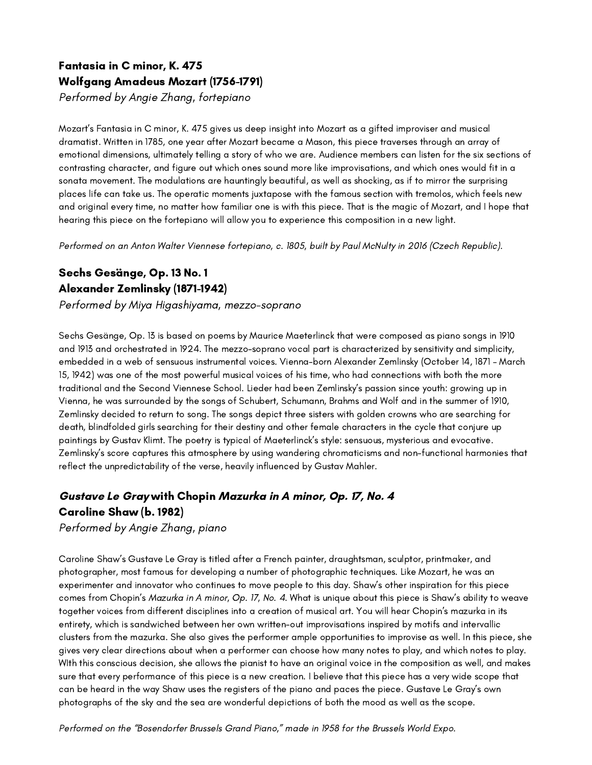## Fantasia in C minor, K. 475 Wolfgang Amadeus Mozart (1756-1791)

Performed by Angie Zhang, fortepiano

Mozart's Fantasia in C minor, K. 475 gives us deep insight into Mozart as a gifted improviser and musical dramatist. Written in 1785, one year after Mozart became a Mason, this piece traverses through an array of emotional dimensions, ultimately telling a story of who we are. Audience members can listen for the six sections of contrasting character, and figure out which ones sound more like improvisations, and which ones would fit in a sonata movement. The modulations are hauntingly beautiful, as well as shocking, as if to mirror the surprising places life can take us. The operatic moments juxtapose with the famous section with tremolos, which feels new and original every time, no matter how familiar one is with this piece. That is the magic of Mozart, and I hope that hearing this piece on the fortepiano will allow you to experience this composition in a new light.

Performed on an Anton Walter Viennese fortepiano, c. 1805, built by Paul McNulty in 2016 (Czech Republic).

### Sechs Gesänge, Op. 13 No. 1 Alexander Zemlinsky (1871-1942)

Performed by Miya Higashiyama, mezzo-soprano

Sechs Gesänge, Op. 13 is based on poems by Maurice Maeterlinck that were composed as piano songs in 1910 and 1913 and orchestrated in 1924. The mezzo-soprano vocal part is characterized by sensitivity and simplicity, embedded in a web of sensuous instrumental voices. Vienna-born Alexander Zemlinsky (October 14, 1871 – March 15, 1942) was one of the most powerful musical voices of his time, who had connections with both the more traditional and the Second Viennese School. Lieder had been Zemlinsky's passion since youth: growing up in Vienna, he was surrounded by the songs of Schubert, Schumann, Brahms and Wolf and in the summer of 1910, Zemlinsky decided to return to song. The songs depict three sisters with golden crowns who are searching for death, blindfolded girls searching for their destiny and other female characters in the cycle that conjure up paintings by Gustav Klimt. The poetry is typical of Maeterlinck's style: sensuous, mysterious and evocative. Zemlinsky's score captures this atmosphere by using wandering chromaticisms and non-functional harmonies that reflect the unpredictability of the verse, heavily influenced by Gustav Mahler.

### Gustave Le Gray with Chopin Mazurka in A minor, Op. 17, No. 4 Caroline Shaw (b. 1982)

Performed by Angie Zhang, piano

Caroline Shaw's Gustave Le Gray is titled after a French painter, draughtsman, sculptor, printmaker, and photographer, most famous for developing a number of photographic techniques. Like Mozart, he was an experimenter and innovator who continues to move people to this day. Shaw's other inspiration for this piece comes from Chopin's Mazurka in A minor, Op. 17, No. 4. What is unique about this piece is Shaw's ability to weave together voices from different disciplines into a creation of musical art. You will hear Chopin's mazurka in its entirety, which is sandwiched between her own written-out improvisations inspired by motifs and intervallic clusters from the mazurka. She also gives the performer ample opportunities to improvise as well. In this piece, she gives very clear directions about when a performer can choose how many notes to play, and which notes to play. WIth this conscious decision, she allows the pianist to have an original voice in the composition as well, and makes sure that every performance of this piece is a new creation. I believe that this piece has a very wide scope that can be heard in the way Shaw uses the registers of the piano and paces the piece. Gustave Le Gray's own photographs of the sky and the sea are wonderful depictions of both the mood as well as the scope.

Performed on the "Bosendorfer Brussels Grand Piano," made in 1958 for the Brussels World Expo.